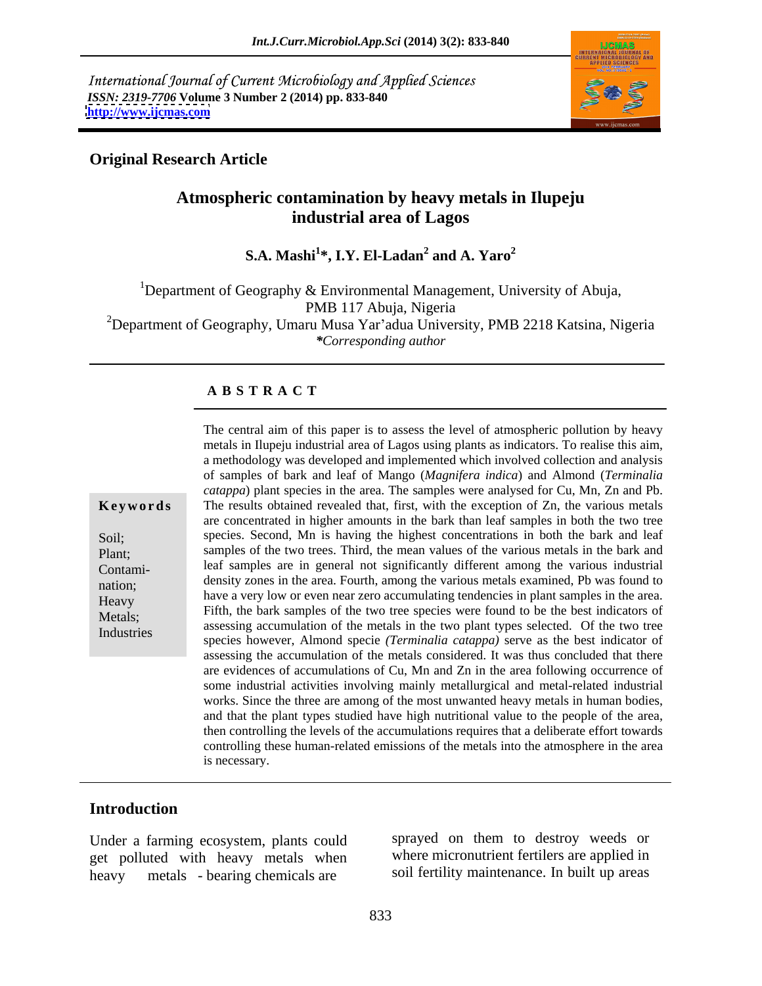International Journal of Current Microbiology and Applied Sciences *ISSN: 2319-7706* **Volume 3 Number 2 (2014) pp. 833-840 <http://www.ijcmas.com>**



## **Original Research Article**

# **Atmospheric contamination by heavy metals in Ilupeju industrial area of Lagos**

**S.A. Mashi<sup>1</sup>\*, I.Y. El-Ladan<sup>2</sup> and A. Yaro<sup>2</sup> and A. Yaro<sup>2</sup>**

<sup>1</sup>Department of Geography & Environmental Management, University of Abuja, PMB 117 Abuja, Nigeria <sup>2</sup>Department of Geography, Umaru Musa Yar'adua University, PMB 2218 Katsina, Nigeria

*\*Corresponding author*

### **A B S T R A C T**

**Keywords** The results obtained revealed that, first, with the exception of Zn, the various metals Soil; species. Second, Mn is having the highest concentrations in both the bark and leaf Plant; samples of the two trees. Third, the mean values of the various metals in the bark and Contami- leaf samples are in general not significantly different among the various industrial nation; density zones in the area. Fourth, among the various metals examined, Pb was found to have a very low or even near zero accumulating tendencies in plant samples in the area.<br>Heavy Metals;<br>
assessing accumulation of the metals in the two plant types selected. Of the two tree Industries<br>species however, Almond specie *(Terminalia catappa)* serve as the best indicator of The central aim of this paper is to assess the level of atmospheric pollution by heavy metals in Ilupeju industrial area of Lagos using plants as indicators. To realise this aim, a methodology was developed and implemented which involved collection and analysis of samples of bark and leaf of Mango (*Magnifera indica*) and Almond (*Terminalia catappa*) plant species in the area. The samples were analysed for Cu, Mn, Zn and Pb. are concentrated in higher amounts in the bark than leaf samples in both the two tree Fifth, the bark samples of the two tree species were found to be the best indicators of assessing the accumulation of the metals considered. It was thus concluded that there are evidences of accumulations of Cu, Mn and Zn in the area following occurrence of some industrial activities involving mainly metallurgical and metal-related industrial works. Since the three are among of the most unwanted heavy metals in human bodies, and that the plant types studied have high nutritional value to the people of the area, then controlling the levels of the accumulations requires that a deliberate effort towards controlling these human-related emissions of the metals into the atmosphere in the area is necessary.

### **Introduction**

Under a farming ecosystem, plants could get polluted with heavy metals when heavy metals - bearing chemicals are soil fertility maintenance. In built up areas

sprayed on them to destroy weeds or where micronutrient fertilers are applied in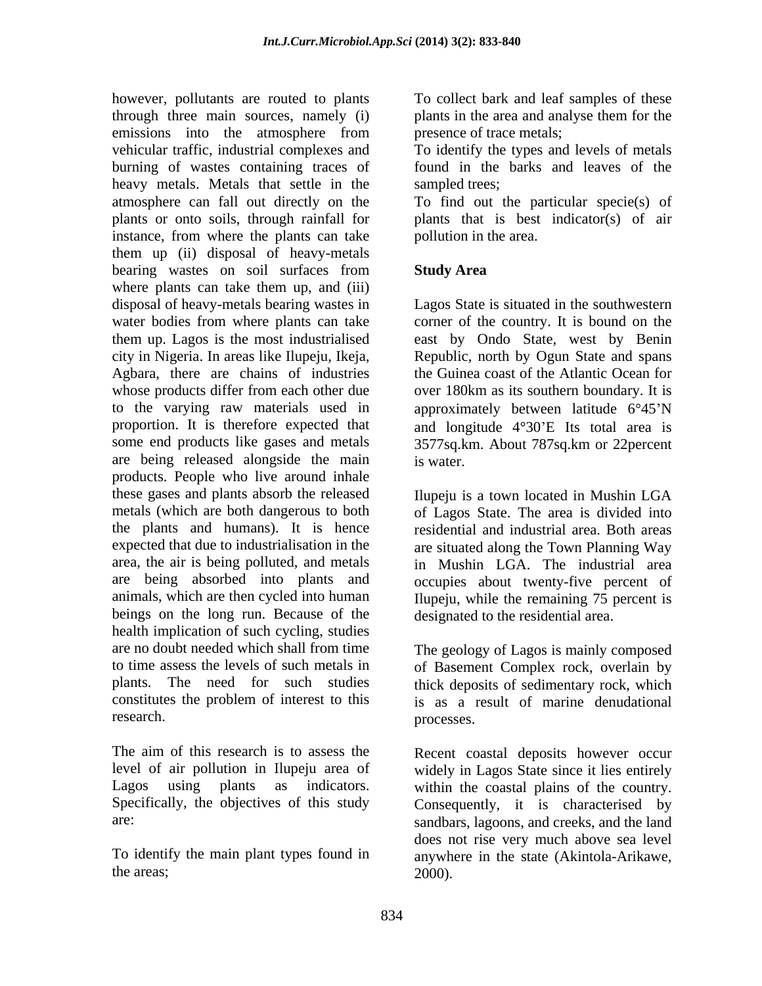however, pollutants are routed to plants To collect bark and leaf samples of these through three main sources, namely (i) plants in the area and analyse them for the emissions into the atmosphere from presence of trace metals; vehicular traffic, industrial complexes and To identify the types and levels of metals burning of wastes containing traces of found in the barks and leaves of the heavy metals. Metals that settle in the sampled trees; atmosphere can fall out directly on the To find out the particular specie(s) of plants or onto soils, through rainfall for plants that is best indicator(s) of air instance, from where the plants can take them up (ii) disposal of heavy-metals bearing wastes on soil surfaces from Study Area where plants can take them up, and (iii) disposal of heavy-metals bearing wastes in Lagos State is situated in the southwestern water bodies from where plants can take corner of the country. It is bound on the them up. Lagos is the most industrialised east by Ondo State, west by Benin city in Nigeria. In areas like Ilupeju, Ikeja, Republic, north by Ogun State and spans Agbara, there are chains of industries whose products differ from each other due to the varying raw materials used in approximately between latitude 6°45'N proportion. It is therefore expected that and longitude  $4^{\circ}30'E$  Its total area is some end products like gases and metals 3577sq.km. About 787sq.km or 22percent are being released alongside the main products. People who live around inhale these gases and plants absorb the released metals (which are both dangerous to both of Lagos State. The area is divided into the plants and humans). It is hence expected that due to industrialisation in the are situated along the Town Planning Way area, the air is being polluted, and metals in Mushin LGA. The industrial area are being absorbed into plants and occupies about twenty-five percent of animals, which are then cycled into human Ilupeju, while the remaining 75 percent is beings on the long run. Because of the health implication of such cycling, studies are no doubt needed which shall from time The geology of Lagos is mainly composed to time assess the levels of such metals in of Basement Complex rock, overlain by plants. The need for such studies thick deposits of sedimentary rock, which constitutes the problem of interest to this is as a result of marine denudational research. processes.

plants in the area and analyse them for the presence of trace metals;

sampled trees;

pollution in the area.

## **Study Area**

the Guinea coast of the Atlantic Ocean for over 180km as its southern boundary. It is is water.

Ilupeju is a town located in Mushin LGA residential and industrial area. Both areas designated to the residential area.

processes.

The aim of this research is to assess the Recent coastal deposits however occur level of air pollution in Ilupeju area of widely in Lagos State since it lies entirely Lagos using plants as indicators. within the coastal plains of the country. Specifically, the objectives of this study Consequently, it is characterised by are: sandbars, lagoons, and creeks, and the land To identify the main plant types found in anywhere in the state (Akintola-Arikawe, the areas;  $2000$ . does not rise very much above sea level 2000).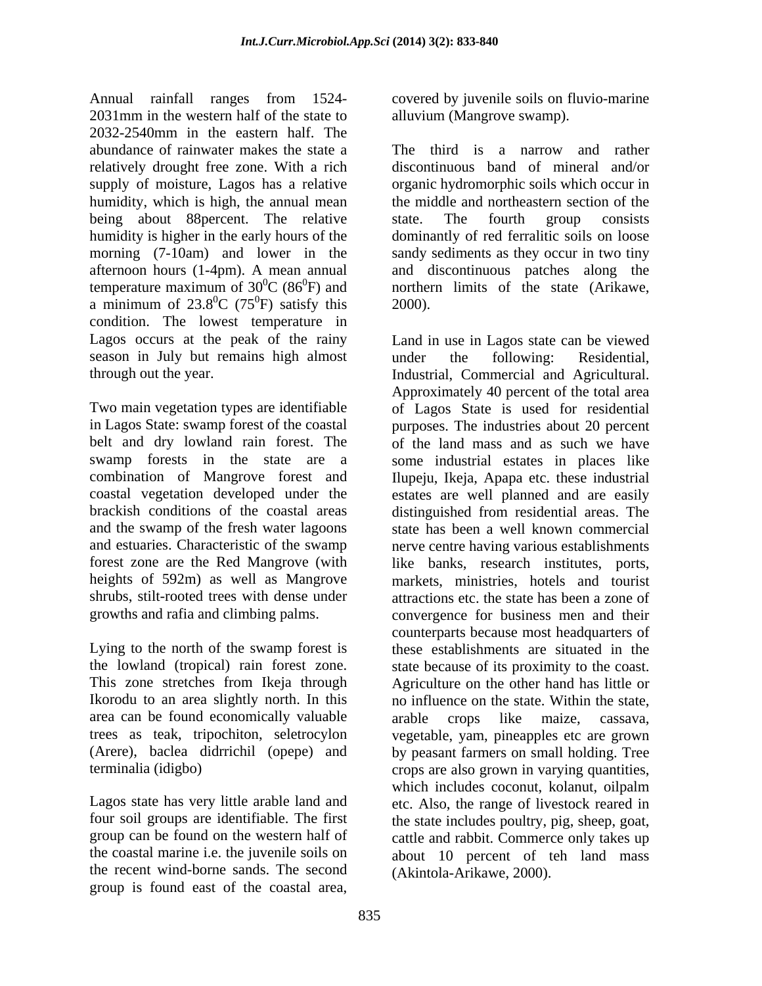Annual rainfall ranges from 1524- covered by juvenile soils on fluvio-marine 2031mm in the western half of the state to alluvium (Mangrove swamp). 2032-2540mm in the eastern half. The abundance of rainwater makes the state a The third is a narrow and rather relatively drought free zone. With a rich supply of moisture, Lagos has a relative organic hydromorphic soils which occur in humidity, which is high, the annual mean the middle and northeastern section of the being about 88 percent. The relative state. The fourth group consists humidity is higher in the early hours of the dominantly of red ferralitic soils on loose morning (7-10am) and lower in the sandy sediments as they occur in two tiny afternoon hours (1-4pm). A mean annual and discontinuous patches along the temperature maximum of  $30^0C$  (86<sup>0</sup>F) and a minimum of  $23.8^{\circ}$ C (75<sup>°</sup>F) satisfy this 2000). condition. The lowest temperature in Lagos occurs at the peak of the rainy season in July but remains high almost under the following: Residential.

brackish conditions of the coastal areas distinguished from residential areas. The heights of 592m) as well as Mangrove shrubs, stilt-rooted trees with dense under

Ikorodu to an area slightly north. In this area can be found economically valuable arable crops like maize, cassava,

the recent wind-borne sands. The second group is found east of the coastal area,

alluvium (Mangrove swamp).

 ${}^{0}C$  (86 ${}^{0}F$ ) and northern limits of the state (Arikawe,  ${}^{0}C$  (75<sup>0</sup>F) satisfy this 2000).  ${}^{0}F$ ) satisfy this 2000). discontinuous band of mineral and/or state. The fourth group consists 2000).

through out the year. Industrial, Commercial and Agricultural. Two main vegetation types are identifiable of Lagos State is used for residential in Lagos State: swamp forest of the coastal purposes. The industries about 20 percent belt and dry lowland rain forest. The of the land mass and as such we have swamp forests in the state are a some industrial estates in places like combination of Mangrove forest and Ilupeju, Ikeja, Apapa etc. these industrial coastal vegetation developed under the estates are well planned and are easily and the swamp of the fresh water lagoons state has been a well known commercial and estuaries. Characteristic of the swamp nerve centre having various establishments forest zone are the Red Mangrove (with like banks, research institutes, ports, growths and rafia and climbing palms. convergence for business men and their Lying to the north of the swamp forest is these establishments are situated in the the lowland (tropical) rain forest zone. state because of its proximity to the coast. This zone stretches from Ikeja through Agriculture on the other hand haslittle or trees as teak, tripochiton, seletrocylon vegetable, yam, pineapples etc are grown (Arere), baclea didrrichil (opepe) and by peasant farmers on small holding. Tree terminalia (idigbo) crops are also grown in varying quantities, Lagos state has very little arable land and etc. Also, the range of livestock reared in four soil groups are identifiable. The first the state includes poultry, pig, sheep, goat, group can be found on the western half of cattle and rabbit. Commerce only takes up the coastal marine i.e. the juvenile soils on about 10 percent of teh land mass Land in use in Lagos state can be viewed under the following: Residential, Approximately 40 percent of the total area distinguished from residential areas. The markets, ministries, hotels and tourist attractions etc. the state has been a zone of counterparts because most headquarters of no influence on the state. Within the state, arable crops like maize, cassava, which includes coconut, kolanut, oilpalm (Akintola-Arikawe, 2000).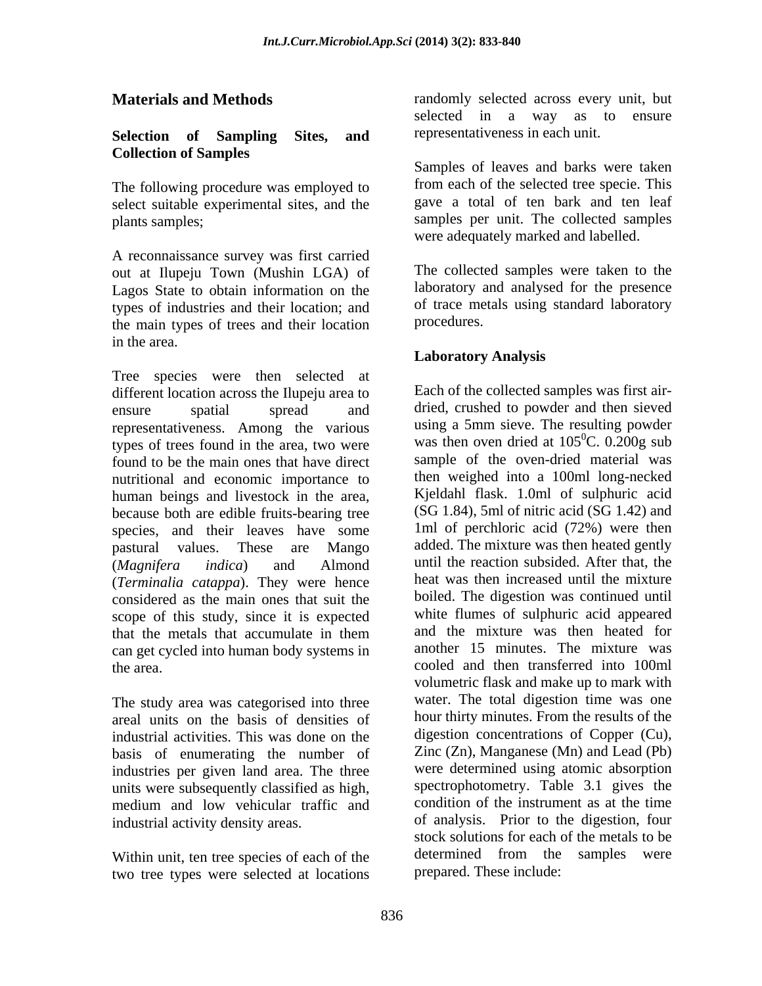### **Selection of Sampling Sites, and Collection of Samples**

The following procedure was employed to select suitable experimental sites, and the

A reconnaissance survey was first carried out at Ilupeju Town (Mushin LGA) of Lagos State to obtain information on the types of industries and their location; and of trace me<br>the main types of trees and their location procedures. the main types of trees and their location in the area.

Tree species were then selected at different location across the Ilupeju area to ensure spatial spread and dried, crushed to powder and then sieved representativeness. Among the various types of trees found in the area, two were found to be the main ones that have direct nutritional and economic importance to human beings and livestock in the area, because both are edible fruits-bearing tree species, and their leaves have some pastural values. These are Mango added. The mixture was then heated gently (*Magnifera indica*) and Almond until the reaction subsided. After that, the (*Terminalia catappa*). They were hence considered as the main ones that suit the scope of this study, since it is expected that the metals that accumulate in them and the mixture was then heated for can get cycled into human body systems in the area. cooled and then transferred into 100ml

The study area was categorised into three areal units on the basis of densities of industrial activities. This was done on the basis of enumerating the number of industries per given land area. The three units were subsequently classified as high, medium and low vehicular traffic and

two tree types were selected at locations

**Materials and Methods** randomly selected across every unit, but selected in a way as to ensure representativeness in each unit.

plants samples; samples per unit. The collected samples Samples of leaves and barks were taken from each of the selected tree specie. This gave a total of ten bark and ten leaf were adequately marked and labelled.

> The collected samples were taken to the laboratory and analysed for the presence of trace metals using standard laboratory procedures.

## **Laboratory Analysis**

industrial activity density areas. of analysis. Prior to the digestion, four Within unit, ten tree species of each of the determined from the samples were Each of the collected samples was first air using a 5mm sieve. The resulting powder was then oven dried at  $105^{\circ}$ C. 0.200g sub  $\rm{^{0}C}$ . 0.200g sub sample of the oven-dried material was then weighed into a 100ml long-necked Kjeldahl flask. 1.0ml of sulphuric acid (SG 1.84), 5ml of nitric acid (SG 1.42) and 1ml of perchloric acid (72%) were then heat was then increased until the mixture boiled. The digestion was continued until white flumes of sulphuric acid appeared and the mixture was then heated for another 15 minutes. The mixture was volumetric flask and make up to mark with water. The total digestion time was one hour thirty minutes. From the results of the digestion concentrations of Copper (Cu), Zinc (Zn), Manganese (Mn) and Lead (Pb) were determined using atomic absorption spectrophotometry. Table 3.1 gives the condition of the instrument as at the time stock solutions for each of the metals to be determined from the samples were prepared. These include: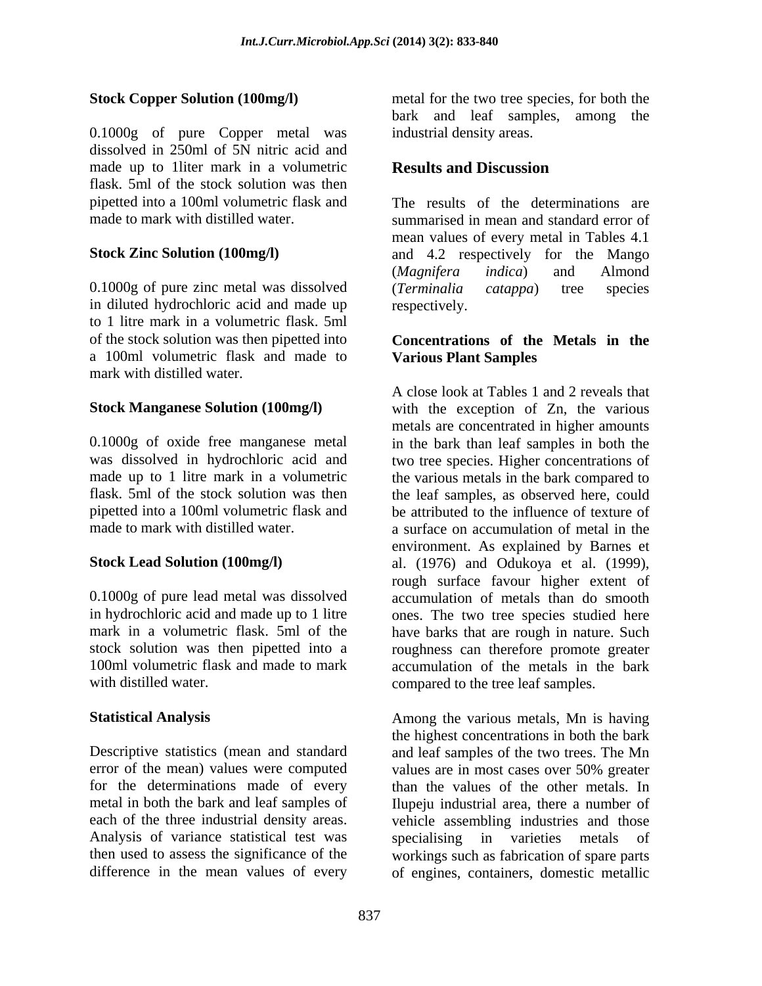0.1000g of pure Copper metal was dissolved in 250ml of 5N nitric acid and made up to 1 liter mark in a volumetric **Results and Discussion** flask. 5ml of the stock solution was then

0.1000g of pure zinc metal was dissolved (Terminalia catappa) tree species in diluted hydrochloric acid and made up to 1 litre mark in a volumetric flask. 5ml of the stock solution was then pipetted into a 100ml volumetric flask and made to mark with distilled water.

error of the mean) values were computed values are in most cases over 50% greater for the determinations made of every Analysis of variance statistical test was specialising in varieties metals of

**Stock Copper Solution (100mg/l)** metal for the two tree species, for both the bark and leaf samples, among the industrial density areas.

## **Results and Discussion**

pipetted into a 100ml volumetric flask and The results of the determinations are made to mark with distilled water. summarised in mean and standard error of **Stock Zinc Solution (100mg/l)** and 4.2 respectively for the Mango mean values of every metal in Tables 4.1 (*Magnifera indica*) and Almond (*Terminalia catappa*) tree species respectively.

### **Concentrations of the Metals in the Various Plant Samples**

**Stock Manganese Solution (100mg/l)** with the exception of Zn, the various 0.1000g of oxide free manganese metal in the bark than leaf samples in both the was dissolved in hydrochloric acid and two tree species. Higher concentrations of made up to 1 litre mark in a volumetric the various metals in the bark compared to flask. 5ml of the stock solution was then the leaf samples, as observed here, could pipetted into a 100ml volumetric flask and be attributed to the influence of texture of made to mark with distilled water. a surface on accumulation of metal in the **Stock Lead Solution (100mg/l)** al. (1976) and Odukoya et al. (1999), 0.1000g of pure lead metal was dissolved accumulation of metals than do smooth in hydrochloric acid and made up to 1 litre ones. The two tree species studied here mark in a volumetric flask. 5ml of the have barks that are rough in nature. Such stock solution was then pipetted into a roughness can therefore promote greater 100ml volumetric flask and made to mark accumulation of the metals in the bark with distilled water. The compared to the tree leaf samples. A close look at Tables 1 and 2 reveals that metals are concentrated in higher amounts environment. As explained by Barnes et rough surface favour higher extent of

**Statistical Analysis** Among the various metals, Mn is having Descriptive statistics (mean and standard and leaf samples of the two trees. The Mn metal in both the bark and leaf samples of Ilupeju industrial area, there a number of each of the three industrial density areas. vehicle assembling industries and those then used to assess the significance of the workings such as fabrication of spare parts difference in the mean values of every of engines, containers, domestic metallicthe highest concentrations in both the bark values are in most cases over 50% greater than the values of the other metals. In specialising in varieties metals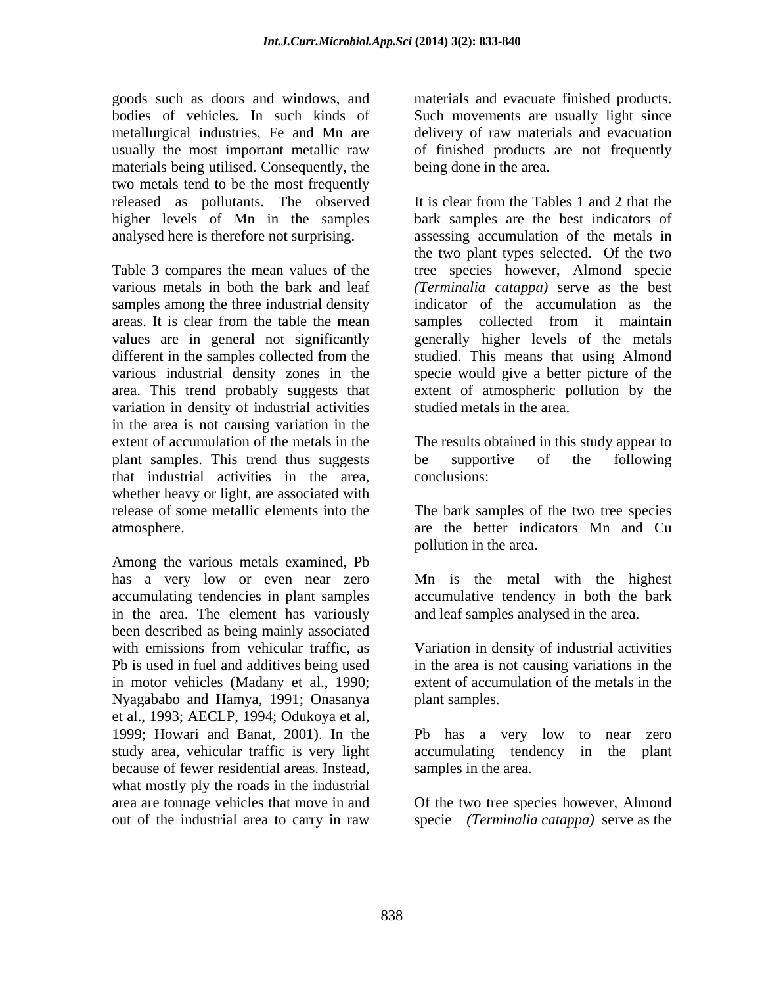goods such as doors and windows, and materials and evacuate finished products. bodies of vehicles. In such kinds of Such movements are usually light since metallurgical industries, Fe and Mn are usually the most important metallic raw of finished products are not frequently materials being utilised. Consequently, the two metals tend to be the most frequently released as pollutants. The observed higher levels of Mn in the samples

samples among the three industrial density areas. It is clear from the table the mean samples collected from it maintain values are in general not significantly variation in density of industrial activities in the area is not causing variation in the extent of accumulation of the metals in the The results obtained in this study appear to plant samples. This trend thus suggests be supportive of the following that industrial activities in the area, whether heavy or light, are associated with release of some metallic elements into the atmosphere. The area of the better indicators Mn and Cu

Among the various metals examined, Pb has a very low or even near zero accumulating tendencies in plant samples accumulative tendency in both the bark in the area. The element has variously been described as being mainly associated with emissions from vehicular traffic, as Pb is used in fuel and additives being used in motor vehicles (Madany et al., 1990; Nyagababo and Hamya, 1991; Onasanya et al., 1993; AECLP, 1994; Odukoya et al, 1999; Howari and Banat, 2001). In the study area, vehicular traffic is very light accumulating tendency in the plant because of fewer residential areas. Instead, what mostly ply the roads in the industrial area are tonnage vehicles that move in and Of the two tree species however, Almond

delivery of raw materials and evacuation being done in the area.

analysed here is therefore not surprising. assessing accumulation of the metals in Table 3 compares the mean values of the tree species however, Almond specie various metals in both the bark and leaf *(Terminalia catappa)* serve as the best different in the samples collected from the studied. This means that using Almond various industrial density zones in the specie would give a better picture of the area. This trend probably suggests that extent of atmospheric pollution by the It is clear from the Tables 1 and 2 that the bark samples are the best indicators of the two plant types selected. Of the two indicator of the accumulation as the samples collected from it maintain generally higher levels of the metals studied metals in the area.

> be supportive of the following conclusions:

The bark samples of the two tree species pollution in the area.

Mn is the metal with the highest and leaf samples analysed in the area.

Variation in density of industrial activities in the area is not causing variations in the extent of accumulation of the metals in the plant samples.

Pb has a very low to near zero accumulating tendency in the plant samples in the area.

out of the industrial area to carry in raw specie *(Terminalia catappa)* serve as the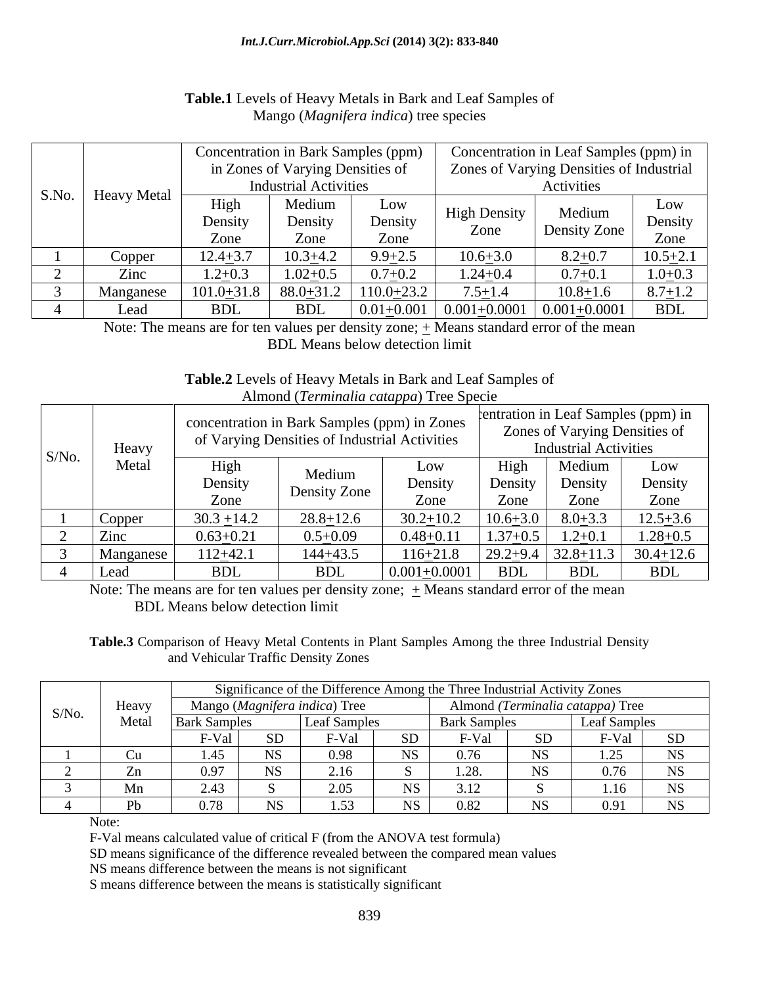|  | S.No.   Heavy Metal | Concentration in Bark Samples (ppm) |                                  |              | Concentration in Leaf Samples (ppm) in         |              |              |  |  |
|--|---------------------|-------------------------------------|----------------------------------|--------------|------------------------------------------------|--------------|--------------|--|--|
|  |                     |                                     | in Zones of Varying Densities of |              | Zones of Varying Densities of Industrial       |              |              |  |  |
|  |                     |                                     | <b>Industrial Activities</b>     |              | Activities                                     |              |              |  |  |
|  |                     | High                                | Medium<br>Density                | Low          | <b>High Density</b>                            | Medium       | Low          |  |  |
|  |                     | Density                             |                                  | Density      | Zone                                           | Density Zone | Density      |  |  |
|  |                     | Zone                                | Zone                             | Zone         |                                                |              | <b>ZOIK</b>  |  |  |
|  | Copper              | $12.4 + 3.7$                        | $10.3 + 4.$                      | $9.9 + 2.5$  | $0.6 + 3.0$                                    | $8.2 + 0.7$  | $10.5 + 2.1$ |  |  |
|  | Zinc                | $1.2 + 0.3$                         | $1.02 + 0.5$                     | $0.7 + 0.2$  | $1.24 + 0.4$                                   | $0.7 + 0.1$  | $1.0 + 0.3$  |  |  |
|  | Manganese           | $101.0 + 31.8$                      | $88.0 + 31.2$                    | $110.0+23.2$ | $7.5 + 1.4$                                    | $10.8 + 1.6$ | $8.7 + 1.2$  |  |  |
|  | Lea                 | <b>BDL</b>                          | BDL                              |              | $0.01+0.001$   $0.001+0.0001$   $0.001+0.0001$ |              | <b>BDL</b>   |  |  |

## **Table.1** Levels of Heavy Metals in Bark and Leaf Samples of Mango (*Magnifera indica*) tree species

Note: The means are for ten values per density zone;  $\pm$  Means standard error of the mean BDL Means below detection limit

### **Table.2** Levels of Heavy Metals in Bark and Leaf Samples of Almond (*Terminalia catappa*) Tree Specie

| Heavy |                  |               | concentration in Bark Samples (ppm) in Zones<br><sup>c</sup> Varying Densities of Industrial Activities | ___                    | rentration in Leaf Samples (ppm) in<br>Zones of Varying Densities of<br><b>Industrial Activities</b> |                 |                 |  |
|-------|------------------|---------------|---------------------------------------------------------------------------------------------------------|------------------------|------------------------------------------------------------------------------------------------------|-----------------|-----------------|--|
| S/No. | Metal            | High          | Medium                                                                                                  | Low                    | H <sub>1</sub> gh                                                                                    | Medium          | Low             |  |
|       |                  | Density       | Density Zone                                                                                            | Densi                  | Densi                                                                                                | Density         | Density         |  |
|       |                  | Zone          |                                                                                                         | Zone                   | Zone                                                                                                 | Zone            | Zone            |  |
|       | Copper           | $30.3 + 14.2$ | $28.8 + 12.6$                                                                                           | $30.2 + 10.2$          | $10.6 + 3.0$                                                                                         | $8.0 + 3.3$     | $12.5 + 3.6$    |  |
|       | $\mathsf{Z}$ inc | $0.63 + 0.21$ | $0.5+0.09$                                                                                              | $0.48 + 0.11$          | $37 + 0.5$                                                                                           | $.2 + 0.1$      | $.28 + 0.5$     |  |
|       | Manganese        | $112+42$      | 144+43.5                                                                                                | $116+21.8$             | $29.2 + 9.4$                                                                                         | $32.8 \pm 11.3$ | $30.4 \pm 12.6$ |  |
|       | Lead             | <b>BDL</b>    | <b>BDL</b>                                                                                              | $0.001 +$<br>$-0.0001$ | D <sub>DI</sub><br>חחם                                                                               | <b>BDL</b>      | <b>BDL</b>      |  |

Note: The means are for ten values per density zone;  $\pm$  Means standard error of the mean BDL Means below detection limit

**Table.3** Comparison of Heavy Metal Contents in Plant Samples Among the three Industrial Density and Vehicular Traffic Density Zones

|       |                                              | Significance of the Difference Among the Three Industrial Activity Zones |  |                   |    |                     |                                  |                  |            |  |  |
|-------|----------------------------------------------|--------------------------------------------------------------------------|--|-------------------|----|---------------------|----------------------------------|------------------|------------|--|--|
| S/No. | Heav <sub>.</sub>                            | <i>(Magnifera indica)</i> Tree                                           |  |                   |    |                     | Almond (Terminalia catappa) Tree |                  |            |  |  |
|       | $M_{\alpha \uparrow \alpha}$<br><b>Netal</b> | Bark Sample                                                              |  | l Leat Sample     |    | <b>Bark Samples</b> |                                  | Leat Samples     |            |  |  |
|       |                                              | F-Val                                                                    |  | <sup>7</sup> -Val | ນມ | '-Val               |                                  | F-Val            | SD.        |  |  |
|       |                                              |                                                                          |  |                   |    |                     |                                  | $\sim$ $\sim$    | <b>NTC</b> |  |  |
|       | - 241                                        |                                                                          |  |                   |    |                     | LN D                             | 0.7 <sub>c</sub> | <b>NS</b>  |  |  |
|       | $\mathbf{r}$<br><b>TATH</b>                  | $\sim$ $+$ $\cdot$ $\cdot$                                               |  |                   |    | 1 Z                 |                                  | 1.16             | <b>NS</b>  |  |  |
|       |                                              |                                                                          |  |                   |    | D 82.               | <b>NTC</b><br>ר צו               | 0.91             | NS N       |  |  |

Note:

F-Val means calculated value of critical F (from the ANOVA test formula)

SD means significance of the difference revealed between the compared mean values

NS means difference between the means is not significant

S means difference between the means is statistically significant